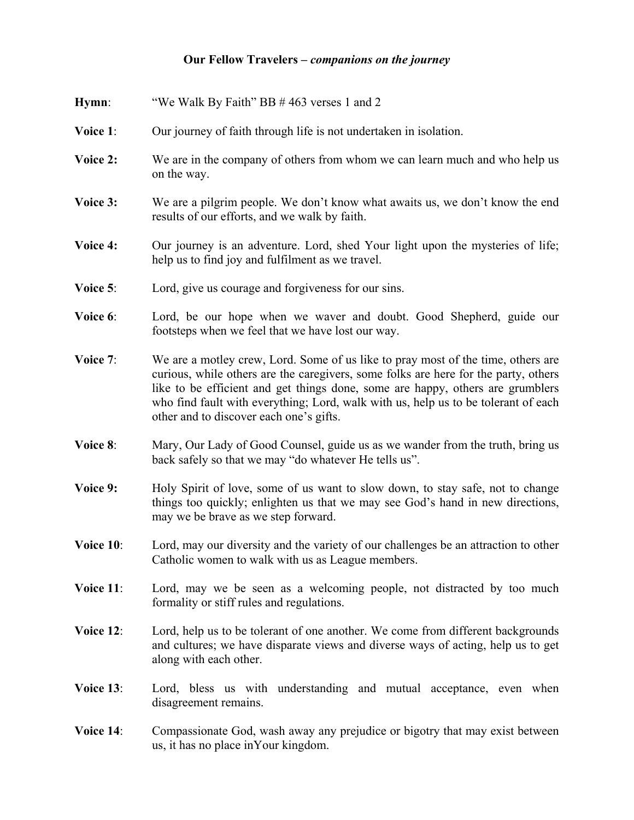## **Our Fellow Travelers –** *companions on the journey*

| Hymn:     | "We Walk By Faith" BB #463 verses 1 and 2                                                                                                                                                                                                                                                                                                                                                  |
|-----------|--------------------------------------------------------------------------------------------------------------------------------------------------------------------------------------------------------------------------------------------------------------------------------------------------------------------------------------------------------------------------------------------|
| Voice 1:  | Our journey of faith through life is not undertaken in isolation.                                                                                                                                                                                                                                                                                                                          |
| Voice 2:  | We are in the company of others from whom we can learn much and who help us<br>on the way.                                                                                                                                                                                                                                                                                                 |
| Voice 3:  | We are a pilgrim people. We don't know what awaits us, we don't know the end<br>results of our efforts, and we walk by faith.                                                                                                                                                                                                                                                              |
| Voice 4:  | Our journey is an adventure. Lord, shed Your light upon the mysteries of life;<br>help us to find joy and fulfilment as we travel.                                                                                                                                                                                                                                                         |
| Voice 5:  | Lord, give us courage and forgiveness for our sins.                                                                                                                                                                                                                                                                                                                                        |
| Voice 6:  | Lord, be our hope when we waver and doubt. Good Shepherd, guide our<br>footsteps when we feel that we have lost our way.                                                                                                                                                                                                                                                                   |
| Voice 7:  | We are a motley crew, Lord. Some of us like to pray most of the time, others are<br>curious, while others are the caregivers, some folks are here for the party, others<br>like to be efficient and get things done, some are happy, others are grumblers<br>who find fault with everything; Lord, walk with us, help us to be tolerant of each<br>other and to discover each one's gifts. |
| Voice 8:  | Mary, Our Lady of Good Counsel, guide us as we wander from the truth, bring us<br>back safely so that we may "do whatever He tells us".                                                                                                                                                                                                                                                    |
| Voice 9:  | Holy Spirit of love, some of us want to slow down, to stay safe, not to change<br>things too quickly; enlighten us that we may see God's hand in new directions,<br>may we be brave as we step forward.                                                                                                                                                                                    |
| Voice 10: | Lord, may our diversity and the variety of our challenges be an attraction to other<br>Catholic women to walk with us as League members.                                                                                                                                                                                                                                                   |
| Voice 11: | Lord, may we be seen as a welcoming people, not distracted by too much<br>formality or stiff rules and regulations.                                                                                                                                                                                                                                                                        |
| Voice 12: | Lord, help us to be tolerant of one another. We come from different backgrounds<br>and cultures; we have disparate views and diverse ways of acting, help us to get<br>along with each other.                                                                                                                                                                                              |
| Voice 13: | Lord, bless us with understanding and mutual acceptance, even when<br>disagreement remains.                                                                                                                                                                                                                                                                                                |
| Voice 14: | Compassionate God, wash away any prejudice or bigotry that may exist between<br>us, it has no place in Your kingdom.                                                                                                                                                                                                                                                                       |